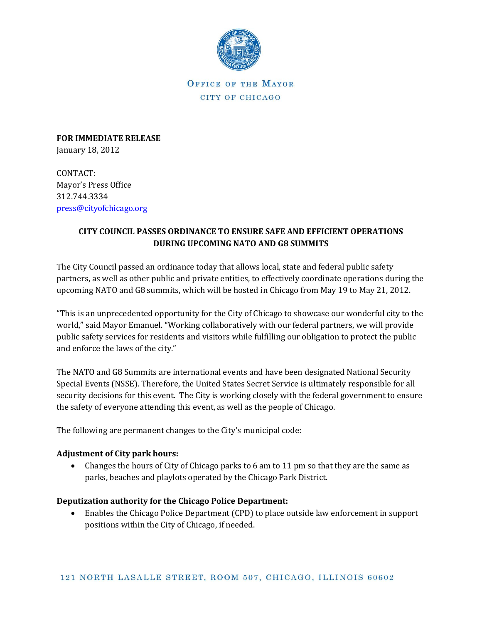

OFFICE OF THE MAYOR CITY OF CHICAGO

**FOR IMMEDIATE RELEASE** January 18, 2012

CONTACT: Mayor's Press Office 312.744.3334 [press@cityofchicago.org](mailto:press@cityofchicago.org)

## **CITY COUNCIL PASSES ORDINANCE TO ENSURE SAFE AND EFFICIENT OPERATIONS DURING UPCOMING NATO AND G8 SUMMITS**

The City Council passed an ordinance today that allows local, state and federal public safety partners, as well as other public and private entities, to effectively coordinate operations during the upcoming NATO and G8 summits, which will be hosted in Chicago from May 19 to May 21, 2012.

"This is an unprecedented opportunity for the City of Chicago to showcase our wonderful city to the world," said Mayor Emanuel. "Working collaboratively with our federal partners, we will provide public safety services for residents and visitors while fulfilling our obligation to protect the public and enforce the laws of the city."

The NATO and G8 Summits are international events and have been designated National Security Special Events (NSSE). Therefore, the United States Secret Service is ultimately responsible for all security decisions for this event. The City is working closely with the federal government to ensure the safety of everyone attending this event, as well as the people of Chicago.

The following are permanent changes to the City's municipal code:

## **Adjustment of City park hours:**

 Changes the hours of City of Chicago parks to 6 am to 11 pm so that they are the same as parks, beaches and playlots operated by the Chicago Park District.

## **Deputization authority for the Chicago Police Department:**

 Enables the Chicago Police Department (CPD) to place outside law enforcement in support positions within the City of Chicago, if needed.